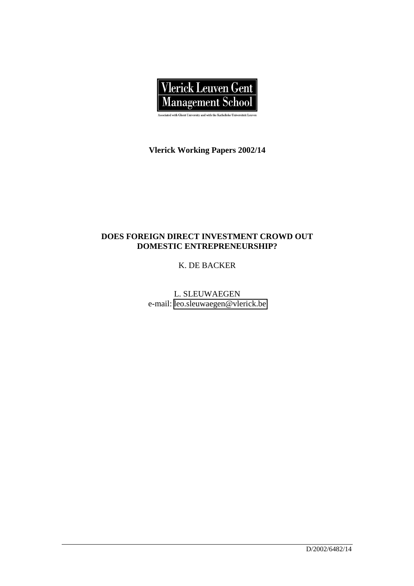

**Vlerick Working Papers 2002/14**

## **DOES FOREIGN DIRECT INVESTMENT CROWD OUT DOMESTIC ENTREPRENEURSHIP?**

K. DE BACKER

L. SLEUWAEGEN e-mail: [leo.sleuwaegen@vlerick.be](mailto:leo.sleuwaegen@vlerick.be)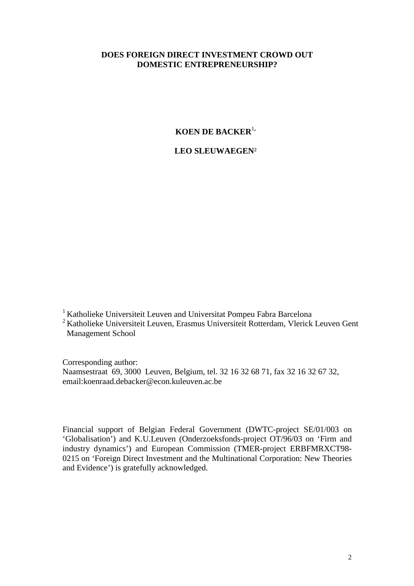## **DOES FOREIGN DIRECT INVESTMENT CROWD OUT DOMESTIC ENTREPRENEURSHIP?**

## **KOEN DE BACKER**<sup>1</sup>**,**

## **LEO SLEUWAEGEN**²

1 Katholieke Universiteit Leuven and Universitat Pompeu Fabra Barcelona

2 Katholieke Universiteit Leuven, Erasmus Universiteit Rotterdam, Vlerick Leuven Gent Management School

Corresponding author:

Naamsestraat 69, 3000 Leuven, Belgium, tel. 32 16 32 68 71, fax 32 16 32 67 32, email:koenraad.debacker@econ.kuleuven.ac.be

Financial support of Belgian Federal Government (DWTC-project SE/01/003 on 'Globalisation') and K.U.Leuven (Onderzoeksfonds-project OT/96/03 on 'Firm and industry dynamics') and European Commission (TMER-project ERBFMRXCT98- 0215 on 'Foreign Direct Investment and the Multinational Corporation: New Theories and Evidence') is gratefully acknowledged.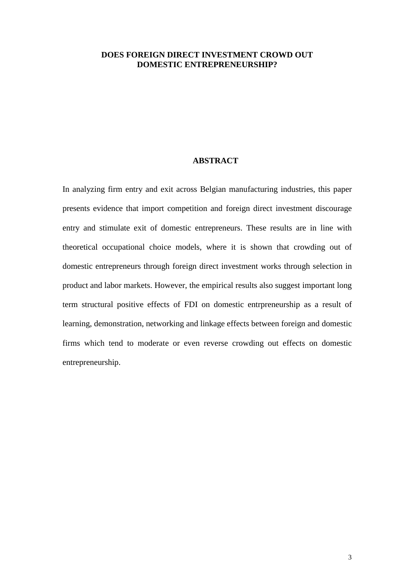### **DOES FOREIGN DIRECT INVESTMENT CROWD OUT DOMESTIC ENTREPRENEURSHIP?**

## **ABSTRACT**

In analyzing firm entry and exit across Belgian manufacturing industries, this paper presents evidence that import competition and foreign direct investment discourage entry and stimulate exit of domestic entrepreneurs. These results are in line with theoretical occupational choice models, where it is shown that crowding out of domestic entrepreneurs through foreign direct investment works through selection in product and labor markets. However, the empirical results also suggest important long term structural positive effects of FDI on domestic entrpreneurship as a result of learning, demonstration, networking and linkage effects between foreign and domestic firms which tend to moderate or even reverse crowding out effects on domestic entrepreneurship.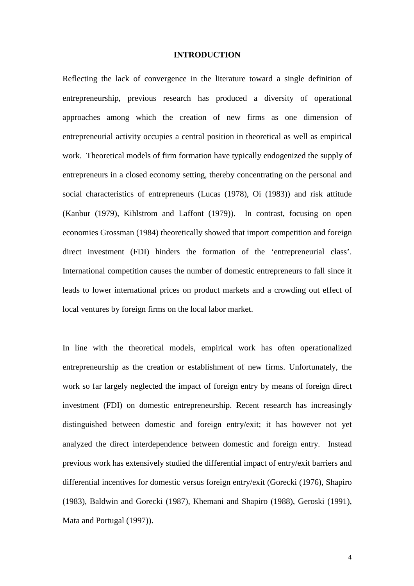#### **INTRODUCTION**

Reflecting the lack of convergence in the literature toward a single definition of entrepreneurship, previous research has produced a diversity of operational approaches among which the creation of new firms as one dimension of entrepreneurial activity occupies a central position in theoretical as well as empirical work. Theoretical models of firm formation have typically endogenized the supply of entrepreneurs in a closed economy setting, thereby concentrating on the personal and social characteristics of entrepreneurs (Lucas (1978), Oi (1983)) and risk attitude (Kanbur (1979), Kihlstrom and Laffont (1979)). In contrast, focusing on open economies Grossman (1984) theoretically showed that import competition and foreign direct investment (FDI) hinders the formation of the 'entrepreneurial class'. International competition causes the number of domestic entrepreneurs to fall since it leads to lower international prices on product markets and a crowding out effect of local ventures by foreign firms on the local labor market.

In line with the theoretical models, empirical work has often operationalized entrepreneurship as the creation or establishment of new firms. Unfortunately, the work so far largely neglected the impact of foreign entry by means of foreign direct investment (FDI) on domestic entrepreneurship. Recent research has increasingly distinguished between domestic and foreign entry/exit; it has however not yet analyzed the direct interdependence between domestic and foreign entry. Instead previous work has extensively studied the differential impact of entry/exit barriers and differential incentives for domestic versus foreign entry/exit (Gorecki (1976), Shapiro (1983), Baldwin and Gorecki (1987), Khemani and Shapiro (1988), Geroski (1991), Mata and Portugal (1997)).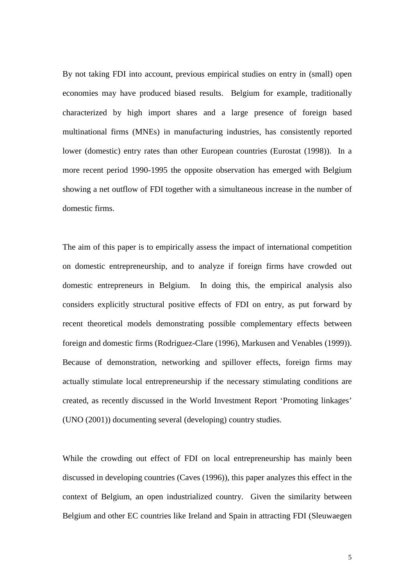By not taking FDI into account, previous empirical studies on entry in (small) open economies may have produced biased results. Belgium for example, traditionally characterized by high import shares and a large presence of foreign based multinational firms (MNEs) in manufacturing industries, has consistently reported lower (domestic) entry rates than other European countries (Eurostat (1998)). In a more recent period 1990-1995 the opposite observation has emerged with Belgium showing a net outflow of FDI together with a simultaneous increase in the number of domestic firms.

The aim of this paper is to empirically assess the impact of international competition on domestic entrepreneurship, and to analyze if foreign firms have crowded out domestic entrepreneurs in Belgium. In doing this, the empirical analysis also considers explicitly structural positive effects of FDI on entry, as put forward by recent theoretical models demonstrating possible complementary effects between foreign and domestic firms (Rodriguez-Clare (1996), Markusen and Venables (1999)). Because of demonstration, networking and spillover effects, foreign firms may actually stimulate local entrepreneurship if the necessary stimulating conditions are created, as recently discussed in the World Investment Report 'Promoting linkages' (UNO (2001)) documenting several (developing) country studies.

While the crowding out effect of FDI on local entrepreneurship has mainly been discussed in developing countries (Caves (1996)), this paper analyzes this effect in the context of Belgium, an open industrialized country. Given the similarity between Belgium and other EC countries like Ireland and Spain in attracting FDI (Sleuwaegen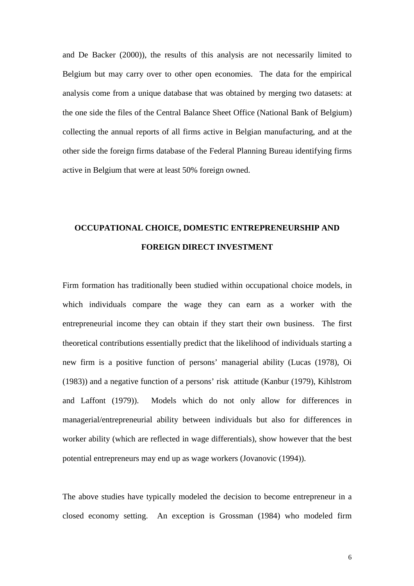and De Backer (2000)), the results of this analysis are not necessarily limited to Belgium but may carry over to other open economies. The data for the empirical analysis come from a unique database that was obtained by merging two datasets: at the one side the files of the Central Balance Sheet Office (National Bank of Belgium) collecting the annual reports of all firms active in Belgian manufacturing, and at the other side the foreign firms database of the Federal Planning Bureau identifying firms active in Belgium that were at least 50% foreign owned.

# **OCCUPATIONAL CHOICE, DOMESTIC ENTREPRENEURSHIP AND FOREIGN DIRECT INVESTMENT**

Firm formation has traditionally been studied within occupational choice models, in which individuals compare the wage they can earn as a worker with the entrepreneurial income they can obtain if they start their own business. The first theoretical contributions essentially predict that the likelihood of individuals starting a new firm is a positive function of persons' managerial ability (Lucas (1978), Oi (1983)) and a negative function of a persons' risk attitude (Kanbur (1979), Kihlstrom and Laffont (1979)). Models which do not only allow for differences in managerial/entrepreneurial ability between individuals but also for differences in worker ability (which are reflected in wage differentials), show however that the best potential entrepreneurs may end up as wage workers (Jovanovic (1994)).

The above studies have typically modeled the decision to become entrepreneur in a closed economy setting. An exception is Grossman (1984) who modeled firm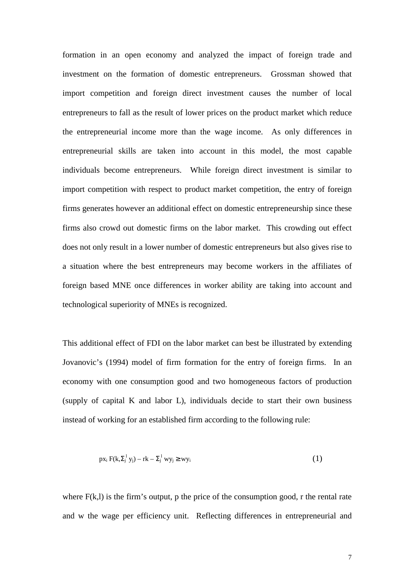formation in an open economy and analyzed the impact of foreign trade and investment on the formation of domestic entrepreneurs. Grossman showed that import competition and foreign direct investment causes the number of local entrepreneurs to fall as the result of lower prices on the product market which reduce the entrepreneurial income more than the wage income. As only differences in entrepreneurial skills are taken into account in this model, the most capable individuals become entrepreneurs. While foreign direct investment is similar to import competition with respect to product market competition, the entry of foreign firms generates however an additional effect on domestic entrepreneurship since these firms also crowd out domestic firms on the labor market. This crowding out effect does not only result in a lower number of domestic entrepreneurs but also gives rise to a situation where the best entrepreneurs may become workers in the affiliates of foreign based MNE once differences in worker ability are taking into account and technological superiority of MNEs is recognized.

This additional effect of FDI on the labor market can best be illustrated by extending Jovanovic's (1994) model of firm formation for the entry of foreign firms. In an economy with one consumption good and two homogeneous factors of production (supply of capital K and labor L), individuals decide to start their own business instead of working for an established firm according to the following rule:

$$
px_i F(k, \Sigma_j^1 y_j) - rk - \Sigma_j^1 wy_j \ge wy_i \tag{1}
$$

where  $F(k,l)$  is the firm's output, p the price of the consumption good, r the rental rate and w the wage per efficiency unit. Reflecting differences in entrepreneurial and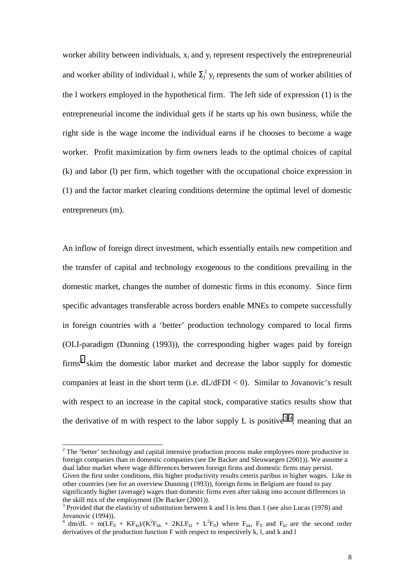worker ability between individuals,  $x_i$  and  $y_i$  represent respectively the entrepreneurial and worker ability of individual i, while  $\Sigma_j^{\perp}$  y<sub>j</sub> represents the sum of worker abilities of the l workers employed in the hypothetical firm. The left side of expression (1) is the entrepreneurial income the individual gets if he starts up his own business, while the right side is the wage income the individual earns if he chooses to become a wage worker. Profit maximization by firm owners leads to the optimal choices of capital (k) and labor (l) per firm, which together with the occupational choice expression in (1) and the factor market clearing conditions determine the optimal level of domestic entrepreneurs (m).

An inflow of foreign direct investment, which essentially entails new competition and the transfer of capital and technology exogenous to the conditions prevailing in the domestic market, changes the number of domestic firms in this economy. Since firm specific advantages transferable across borders enable MNEs to compete successfully in foreign countries with a 'better' production technology compared to local firms (OLI-paradigm (Dunning (1993)), the corresponding higher wages paid by foreign  $firms<sup>2</sup>$  skim the domestic labor market and decrease the labor supply for domestic companies at least in the short term (i.e.  $dL/dFDI < 0$ ). Similar to Jovanovic's result with respect to an increase in the capital stock, comparative statics results show that the derivative of m with respect to the labor supply L is positive<sup>34</sup>, meaning that an

 $2^2$  The 'better' technology and capital intensive production process make employees more productive in foreign companies than in domestic companies (see De Backer and Sleuwaegen (2001)). We assume a dual labor market where wage differences between foreign firms and domestic firms may persist. Given the first order conditions, this higher productivity results ceteris paribus in higher wages. Like in other countries (see for an overview Dunning (1993)), foreign firms in Belgium are found to pay significantly higher (average) wages than domestic firms even after taking into account differences in the skill mix of the employment (De Backer (2001)).

<sup>&</sup>lt;sup>3</sup> Provided that the elasticity of substitution between k and l is less than 1 (see also Lucas (1978) and Jovanovic (1994)).

<sup>&</sup>lt;sup>4</sup> dm/dL = m(LF<sub>II</sub> + KF<sub>kl</sub>)/(K<sup>2</sup>F<sub>kk</sub> + 2KLF<sub>kl</sub> + L<sup>2</sup>F<sub>II</sub>) where F<sub>kk</sub>, F<sub>II</sub> and F<sub>kl</sub> are the second order derivatives of the production function F with respect to respectively k, l, and k and l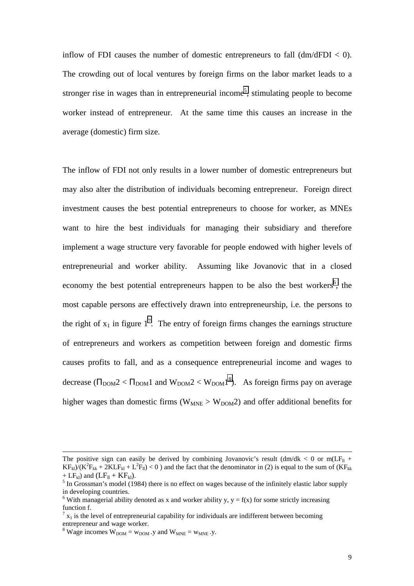inflow of FDI causes the number of domestic entrepreneurs to fall  $\frac{dm}{dFDI} < 0$ . The crowding out of local ventures by foreign firms on the labor market leads to a stronger rise in wages than in entrepreneurial income<sup>5</sup>, stimulating people to become worker instead of entrepreneur. At the same time this causes an increase in the average (domestic) firm size.

The inflow of FDI not only results in a lower number of domestic entrepreneurs but may also alter the distribution of individuals becoming entrepreneur. Foreign direct investment causes the best potential entrepreneurs to choose for worker, as MNEs want to hire the best individuals for managing their subsidiary and therefore implement a wage structure very favorable for people endowed with higher levels of entrepreneurial and worker ability. Assuming like Jovanovic that in a closed economy the best potential entrepreneurs happen to be also the best workers<sup>6</sup>, the most capable persons are effectively drawn into entrepreneurship, i.e. the persons to the right of  $x_1$  in figure  $1^7$ . The entry of foreign firms changes the earnings structure of entrepreneurs and workers as competition between foreign and domestic firms causes profits to fall, and as a consequence entrepreneurial income and wages to decrease ( $\Pi_{\text{DOM}}$ 2 <  $\Pi_{\text{DOM}}$ 1 and  $W_{\text{DOM}}$ 2 <  $W_{\text{DOM}}$ 1<sup>8</sup>). As foreign firms pay on average higher wages than domestic firms ( $W_{MNE} > W_{DOM}$ ) and offer additional benefits for

1

The positive sign can easily be derived by combining Jovanovic's result  $(dm/dk < 0$  or  $m(LF<sub>II</sub> +$  $KF_{kl}/(K^2F_{kk} + 2KLF_{kl} + L^2F_{ll}) < 0$ ) and the fact that the denominator in (2) is equal to the sum of  $(KF_{kk} + 2KLF_{kl} + L^2F_{ll})$ + LF<sub>kl</sub>) and  $(LF_{II} + KF_{kl})$ .

 $<sup>5</sup>$  In Grossman's model (1984) there is no effect on wages because of the infinitely elastic labor supply</sup> in developing countries.

<sup>&</sup>lt;sup>6</sup> With managerial ability denoted as x and worker ability y,  $y = f(x)$  for some strictly increasing function f.

 $7 x_1$  is the level of entrepreneurial capability for individuals are indifferent between becoming entrepreneur and wage worker.

<sup>&</sup>lt;sup>8</sup> Wage incomes  $W_{DOM} = w_{DOM}$ . y and  $W_{MNE} = w_{MNE}$ . y.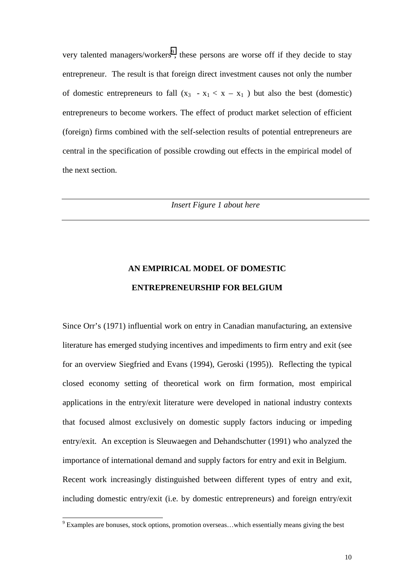very talented managers/workers<sup>9</sup>, these persons are worse off if they decide to stay entrepreneur. The result is that foreign direct investment causes not only the number of domestic entrepreneurs to fall  $(x_3 - x_1 < x - x_1)$  but also the best (domestic) entrepreneurs to become workers. The effect of product market selection of efficient (foreign) firms combined with the self-selection results of potential entrepreneurs are central in the specification of possible crowding out effects in the empirical model of the next section.

*Insert Figure 1 about here*

# **AN EMPIRICAL MODEL OF DOMESTIC ENTREPRENEURSHIP FOR BELGIUM**

Since Orr's (1971) influential work on entry in Canadian manufacturing, an extensive literature has emerged studying incentives and impediments to firm entry and exit (see for an overview Siegfried and Evans (1994), Geroski (1995)). Reflecting the typical closed economy setting of theoretical work on firm formation, most empirical applications in the entry/exit literature were developed in national industry contexts that focused almost exclusively on domestic supply factors inducing or impeding entry/exit. An exception is Sleuwaegen and Dehandschutter (1991) who analyzed the importance of international demand and supply factors for entry and exit in Belgium. Recent work increasingly distinguished between different types of entry and exit, including domestic entry/exit (i.e. by domestic entrepreneurs) and foreign entry/exit

<sup>&</sup>lt;sup>9</sup> Examples are bonuses, stock options, promotion overseas...which essentially means giving the best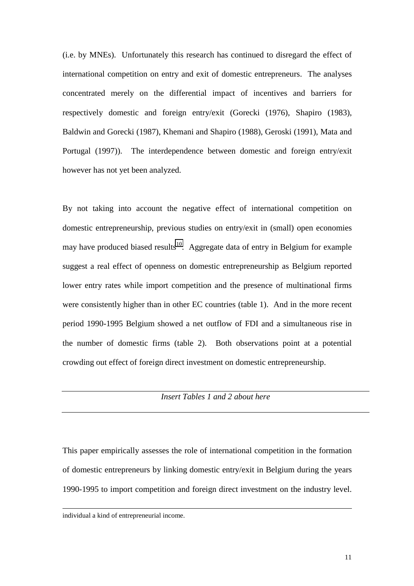(i.e. by MNEs). Unfortunately this research has continued to disregard the effect of international competition on entry and exit of domestic entrepreneurs. The analyses concentrated merely on the differential impact of incentives and barriers for respectively domestic and foreign entry/exit (Gorecki (1976), Shapiro (1983), Baldwin and Gorecki (1987), Khemani and Shapiro (1988), Geroski (1991), Mata and Portugal (1997)). The interdependence between domestic and foreign entry/exit however has not yet been analyzed.

By not taking into account the negative effect of international competition on domestic entrepreneurship, previous studies on entry/exit in (small) open economies may have produced biased results<sup>10</sup>. Aggregate data of entry in Belgium for example suggest a real effect of openness on domestic entrepreneurship as Belgium reported lower entry rates while import competition and the presence of multinational firms were consistently higher than in other EC countries (table 1). And in the more recent period 1990-1995 Belgium showed a net outflow of FDI and a simultaneous rise in the number of domestic firms (table 2). Both observations point at a potential crowding out effect of foreign direct investment on domestic entrepreneurship.

## *Insert Tables 1 and 2 about here*

This paper empirically assesses the role of international competition in the formation of domestic entrepreneurs by linking domestic entry/exit in Belgium during the years 1990-1995 to import competition and foreign direct investment on the industry level.

-

individual a kind of entrepreneurial income.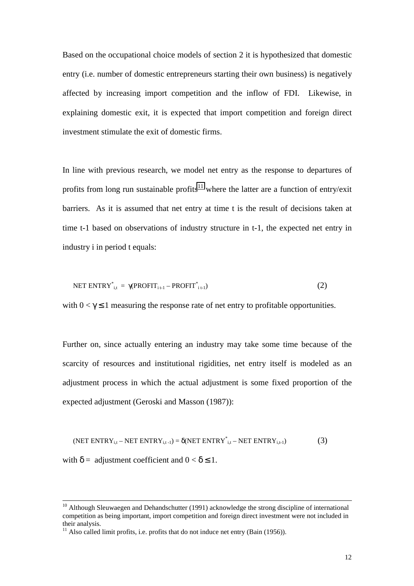Based on the occupational choice models of section 2 it is hypothesized that domestic entry (i.e. number of domestic entrepreneurs starting their own business) is negatively affected by increasing import competition and the inflow of FDI. Likewise, in explaining domestic exit, it is expected that import competition and foreign direct investment stimulate the exit of domestic firms.

In line with previous research, we model net entry as the response to departures of profits from long run sustainable profits<sup>11</sup> where the latter are a function of entry/exit barriers. As it is assumed that net entry at time t is the result of decisions taken at time t-1 based on observations of industry structure in t-1, the expected net entry in industry i in period t equals:

$$
NET ENTRY^*_{i,t} = \gamma (PROFIT_{i,t-1} - PROFIT^*_{i,t-1})
$$
\n(2)

with  $0 < \gamma \leq 1$  measuring the response rate of net entry to profitable opportunities.

Further on, since actually entering an industry may take some time because of the scarcity of resources and institutional rigidities, net entry itself is modeled as an adjustment process in which the actual adjustment is some fixed proportion of the expected adjustment (Geroski and Masson (1987)):

$$
(\text{NET ENTRY}_{i,t} - \text{NET ENTRY}_{i,t-1}) = \delta(\text{NET ENTRY}^*_{i,t} - \text{NET ENTRY}_{i,t-1})
$$
\n(3)

with  $\delta$  = adjustment coefficient and  $0 < \delta \le 1$ .

<sup>&</sup>lt;sup>10</sup> Although Sleuwaegen and Dehandschutter (1991) acknowledge the strong discipline of international competition as being important, import competition and foreign direct investment were not included in their analysis.

 $11$  Also called limit profits, i.e. profits that do not induce net entry (Bain (1956)).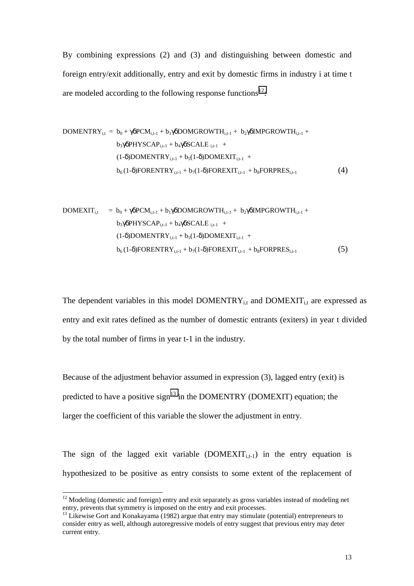By combining expressions (2) and (3) and distinguishing between domestic and foreign entry/exit additionally, entry and exit by domestic firms in industry i at time t are modeled according to the following response functions $^{12}$ .

DOMENTRY<sub>i,t</sub> = 
$$
b_0 + \gamma \delta PCM_{i,t-1} + b_1 \gamma \delta DOMGROWTH_{i,t-1} + b_2 \gamma \delta IMPGROWTH_{i,t-1} + b_3 \gamma \delta PHYSCAP_{i,t-1} + b_4 \gamma \delta SCALE_{i,t-1} +
$$

\n(1-δ)DOMENTRY<sub>i,t-1</sub> +  $b_5(1-\delta) DOMEXIT_{i,t-1} + b_6(1-\delta) FORENTRY_{i,t-1} + b_7(1-\delta) FOREXIT_{i,t-1} + b_8 FORPRES_{i,t-1}$ 

\n(4)

DOMEXIT<sub>i,t</sub> = b<sub>0</sub> + 
$$
\gamma \delta
$$
PCM<sub>i,t-1</sub> + b<sub>1</sub> $\gamma \delta$ DOMGROWTH<sub>i,t-1</sub> + b<sub>2</sub> $\gamma \delta$ IMPGROWTH<sub>i,t-1</sub> +  
\nb<sub>3</sub> $\gamma \delta$ PHYSCAP<sub>i,t-1</sub> + b<sub>4</sub> $\gamma \delta$ SCALE<sub>i,t-1</sub> +  
\n(1- $\delta$ )DOMENTRY<sub>i,t-1</sub> + b<sub>5</sub>(1- $\delta$ )DOMEXTT<sub>i,t-1</sub> +  
\nb<sub>6</sub>(1- $\delta$ )FORMTRY<sub>i,t-1</sub> + b<sub>7</sub>(1- $\delta$ )FORMEXTT<sub>i,t-1</sub> + b<sub>8</sub>FORPRES<sub>i,t-1</sub>

\n(5)

The dependent variables in this model  $DOMENTRY_{i,t}$  and  $DOMEXT_{i,t}$  are expressed as entry and exit rates defined as the number of domestic entrants (exiters) in year t divided by the total number of firms in year t-1 in the industry.

Because of the adjustment behavior assumed in expression (3), lagged entry (exit) is predicted to have a positive sign<sup>13</sup> in the DOMENTRY (DOMEXIT) equation; the larger the coefficient of this variable the slower the adjustment in entry.

The sign of the lagged exit variable (DOMEXIT<sub>i,t-1</sub>) in the entry equation is hypothesized to be positive as entry consists to some extent of the replacement of

 $12$  Modeling (domestic and foreign) entry and exit separately as gross variables instead of modeling net entry, prevents that symmetry is imposed on the entry and exit processes.

<sup>&</sup>lt;sup>13</sup> Likewise Gort and Konakayama (1982) argue that entry may stimulate (potential) entrepreneurs to consider entry as well, although autoregressive models of entry suggest that previous entry may deter current entry.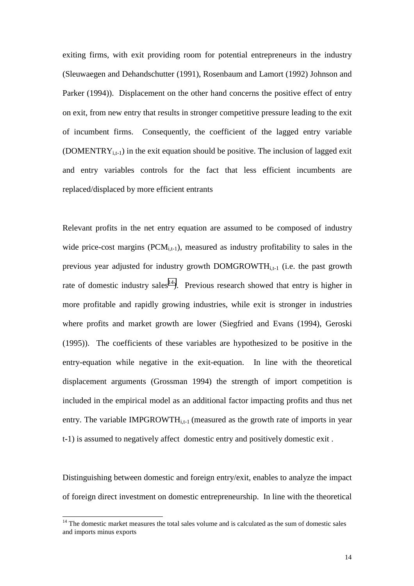exiting firms, with exit providing room for potential entrepreneurs in the industry (Sleuwaegen and Dehandschutter (1991), Rosenbaum and Lamort (1992) Johnson and Parker (1994)). Displacement on the other hand concerns the positive effect of entry on exit, from new entry that results in stronger competitive pressure leading to the exit of incumbent firms. Consequently, the coefficient of the lagged entry variable (DOMENTR $Y_{i,t-1}$ ) in the exit equation should be positive. The inclusion of lagged exit and entry variables controls for the fact that less efficient incumbents are replaced/displaced by more efficient entrants

Relevant profits in the net entry equation are assumed to be composed of industry wide price-cost margins  $(PCM_{i,t-1})$ , measured as industry profitability to sales in the previous year adjusted for industry growth  $DOMGROWTH<sub>i,t-1</sub>$  (i.e. the past growth rate of domestic industry sales<sup>14</sup>). Previous research showed that entry is higher in more profitable and rapidly growing industries, while exit is stronger in industries where profits and market growth are lower (Siegfried and Evans (1994), Geroski (1995)). The coefficients of these variables are hypothesized to be positive in the entry-equation while negative in the exit-equation. In line with the theoretical displacement arguments (Grossman 1994) the strength of import competition is included in the empirical model as an additional factor impacting profits and thus net entry. The variable IMPGROWTH<sub>i,t-1</sub> (measured as the growth rate of imports in year t-1) is assumed to negatively affect domestic entry and positively domestic exit .

Distinguishing between domestic and foreign entry/exit, enables to analyze the impact of foreign direct investment on domestic entrepreneurship. In line with the theoretical

 $14$  The domestic market measures the total sales volume and is calculated as the sum of domestic sales and imports minus exports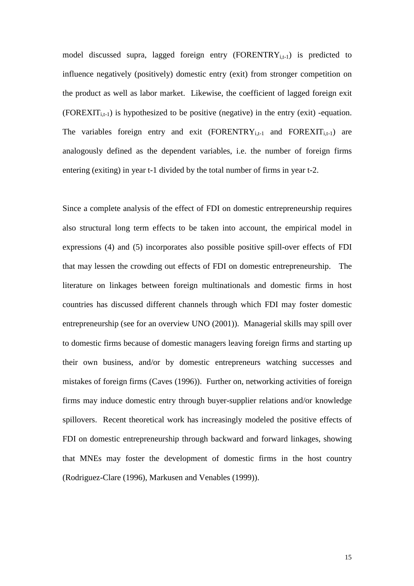model discussed supra, lagged foreign entry  $(FORENTRY_{i,t-1})$  is predicted to influence negatively (positively) domestic entry (exit) from stronger competition on the product as well as labor market. Likewise, the coefficient of lagged foreign exit  $(FOREXIT_{i,t-1})$  is hypothesized to be positive (negative) in the entry (exit) -equation. The variables foreign entry and exit  $(FORENTRY_{i,t-1}$  and  $FOREXT_{i,t-1}$  are analogously defined as the dependent variables, i.e. the number of foreign firms entering (exiting) in year t-1 divided by the total number of firms in year t-2.

Since a complete analysis of the effect of FDI on domestic entrepreneurship requires also structural long term effects to be taken into account, the empirical model in expressions (4) and (5) incorporates also possible positive spill-over effects of FDI that may lessen the crowding out effects of FDI on domestic entrepreneurship. The literature on linkages between foreign multinationals and domestic firms in host countries has discussed different channels through which FDI may foster domestic entrepreneurship (see for an overview UNO (2001)). Managerial skills may spill over to domestic firms because of domestic managers leaving foreign firms and starting up their own business, and/or by domestic entrepreneurs watching successes and mistakes of foreign firms (Caves (1996)). Further on, networking activities of foreign firms may induce domestic entry through buyer-supplier relations and/or knowledge spillovers. Recent theoretical work has increasingly modeled the positive effects of FDI on domestic entrepreneurship through backward and forward linkages, showing that MNEs may foster the development of domestic firms in the host country (Rodriguez-Clare (1996), Markusen and Venables (1999)).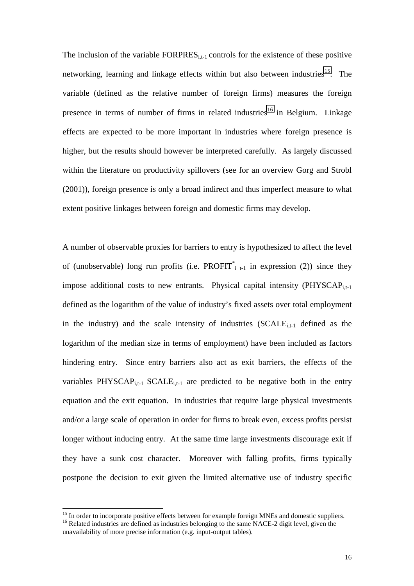The inclusion of the variable  $FORPRES_{i,t-1}$  controls for the existence of these positive networking, learning and linkage effects within but also between industries<sup>15</sup>. The variable (defined as the relative number of foreign firms) measures the foreign presence in terms of number of firms in related industries<sup>16</sup> in Belgium. Linkage effects are expected to be more important in industries where foreign presence is higher, but the results should however be interpreted carefully. As largely discussed within the literature on productivity spillovers (see for an overview Gorg and Strobl (2001)), foreign presence is only a broad indirect and thus imperfect measure to what extent positive linkages between foreign and domestic firms may develop.

A number of observable proxies for barriers to entry is hypothesized to affect the level of (unobservable) long run profits (i.e. PROFIT<sup>\*</sup><sub>it-1</sub> in expression (2)) since they impose additional costs to new entrants. Physical capital intensity  $(PHYSCAP<sub>i,t-1</sub>)$ defined as the logarithm of the value of industry's fixed assets over total employment in the industry) and the scale intensity of industries  $(SCALE<sub>i,t-1</sub>$  defined as the logarithm of the median size in terms of employment) have been included as factors hindering entry. Since entry barriers also act as exit barriers, the effects of the variables PHYSCAP<sub>i,t-1</sub> SCALE<sub>i,t-1</sub> are predicted to be negative both in the entry equation and the exit equation. In industries that require large physical investments and/or a large scale of operation in order for firms to break even, excess profits persist longer without inducing entry. At the same time large investments discourage exit if they have a sunk cost character. Moreover with falling profits, firms typically postpone the decision to exit given the limited alternative use of industry specific

<sup>&</sup>lt;sup>15</sup> In order to incorporate positive effects between for example foreign MNEs and domestic suppliers. <sup>16</sup> Related industries are defined as industries belonging to the same NACE-2 digit level, given the

unavailability of more precise information (e.g. input-output tables).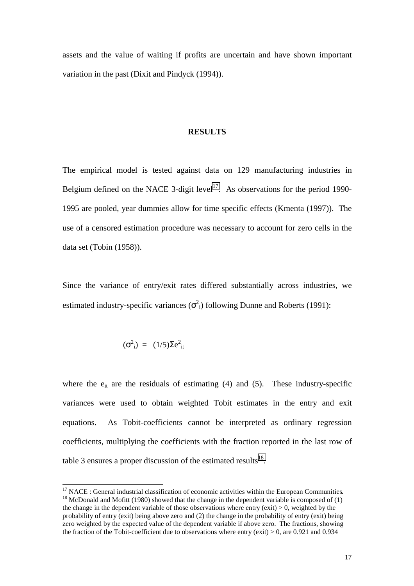assets and the value of waiting if profits are uncertain and have shown important variation in the past (Dixit and Pindyck (1994)).

#### **RESULTS**

The empirical model is tested against data on 129 manufacturing industries in Belgium defined on the NACE 3-digit level<sup>17</sup>. As observations for the period 1990-1995 are pooled, year dummies allow for time specific effects (Kmenta (1997)). The use of a censored estimation procedure was necessary to account for zero cells in the data set (Tobin (1958)).

Since the variance of entry/exit rates differed substantially across industries, we estimated industry-specific variances  $(\sigma^2)$  following Dunne and Roberts (1991):

$$
(\sigma^2_{\ i}) = (1/5)\Sigma e^2_{\ ii}
$$

l

where the  $e_{it}$  are the residuals of estimating (4) and (5). These industry-specific variances were used to obtain weighted Tobit estimates in the entry and exit equations. As Tobit-coefficients cannot be interpreted as ordinary regression coefficients, multiplying the coefficients with the fraction reported in the last row of table 3 ensures a proper discussion of the estimated results<sup>18</sup>.

<sup>&</sup>lt;sup>17</sup> NACE : General industrial classification of economic activities within the European Communities.<br><sup>18</sup> McDonald and Mofitt (1980) showed that the change in the dependent variable is composed of (1) the change in the dependent variable of those observations where entry (exit)  $> 0$ , weighted by the probability of entry (exit) being above zero and (2) the change in the probability of entry (exit) being zero weighted by the expected value of the dependent variable if above zero. The fractions, showing the fraction of the Tobit-coefficient due to observations where entry (exit)  $> 0$ , are 0.921 and 0.934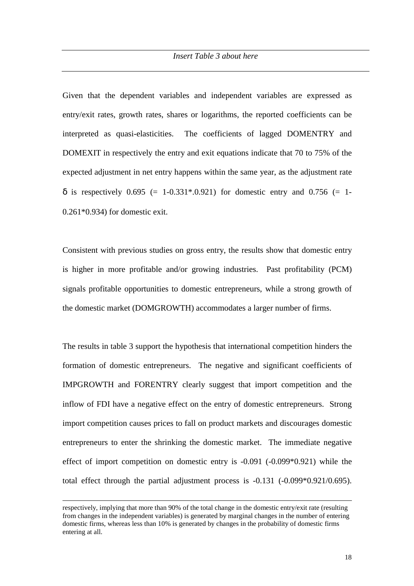Given that the dependent variables and independent variables are expressed as entry/exit rates, growth rates, shares or logarithms, the reported coefficients can be interpreted as quasi-elasticities. The coefficients of lagged DOMENTRY and DOMEXIT in respectively the entry and exit equations indicate that 70 to 75% of the expected adjustment in net entry happens within the same year, as the adjustment rate  $\delta$  is respectively 0.695 (= 1-0.331\*.0.921) for domestic entry and 0.756 (= 1-0.261\*0.934) for domestic exit.

Consistent with previous studies on gross entry, the results show that domestic entry is higher in more profitable and/or growing industries. Past profitability (PCM) signals profitable opportunities to domestic entrepreneurs, while a strong growth of the domestic market (DOMGROWTH) accommodates a larger number of firms.

The results in table 3 support the hypothesis that international competition hinders the formation of domestic entrepreneurs. The negative and significant coefficients of IMPGROWTH and FORENTRY clearly suggest that import competition and the inflow of FDI have a negative effect on the entry of domestic entrepreneurs. Strong import competition causes prices to fall on product markets and discourages domestic entrepreneurs to enter the shrinking the domestic market. The immediate negative effect of import competition on domestic entry is -0.091 (-0.099\*0.921) while the total effect through the partial adjustment process is -0.131 (-0.099\*0.921/0.695).

 $\overline{a}$ 

respectively, implying that more than 90% of the total change in the domestic entry/exit rate (resulting from changes in the independent variables) is generated by marginal changes in the number of entering domestic firms, whereas less than 10% is generated by changes in the probability of domestic firms entering at all.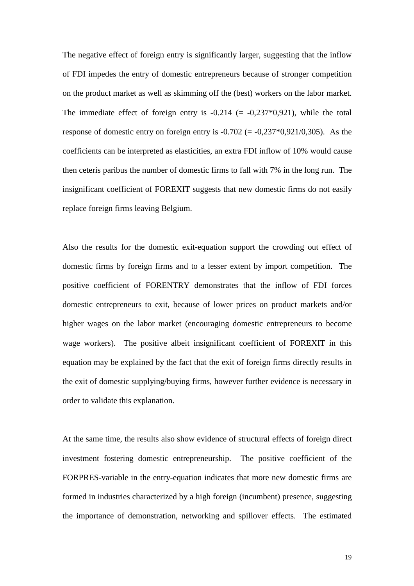The negative effect of foreign entry is significantly larger, suggesting that the inflow of FDI impedes the entry of domestic entrepreneurs because of stronger competition on the product market as well as skimming off the (best) workers on the labor market. The immediate effect of foreign entry is  $-0.214 (= -0.237*0.921)$ , while the total response of domestic entry on foreign entry is  $-0.702$  (=  $-0.237*0.921/0.305$ ). As the coefficients can be interpreted as elasticities, an extra FDI inflow of 10% would cause then ceteris paribus the number of domestic firms to fall with 7% in the long run. The insignificant coefficient of FOREXIT suggests that new domestic firms do not easily replace foreign firms leaving Belgium.

Also the results for the domestic exit-equation support the crowding out effect of domestic firms by foreign firms and to a lesser extent by import competition. The positive coefficient of FORENTRY demonstrates that the inflow of FDI forces domestic entrepreneurs to exit, because of lower prices on product markets and/or higher wages on the labor market (encouraging domestic entrepreneurs to become wage workers). The positive albeit insignificant coefficient of FOREXIT in this equation may be explained by the fact that the exit of foreign firms directly results in the exit of domestic supplying/buying firms, however further evidence is necessary in order to validate this explanation.

At the same time, the results also show evidence of structural effects of foreign direct investment fostering domestic entrepreneurship. The positive coefficient of the FORPRES-variable in the entry-equation indicates that more new domestic firms are formed in industries characterized by a high foreign (incumbent) presence, suggesting the importance of demonstration, networking and spillover effects. The estimated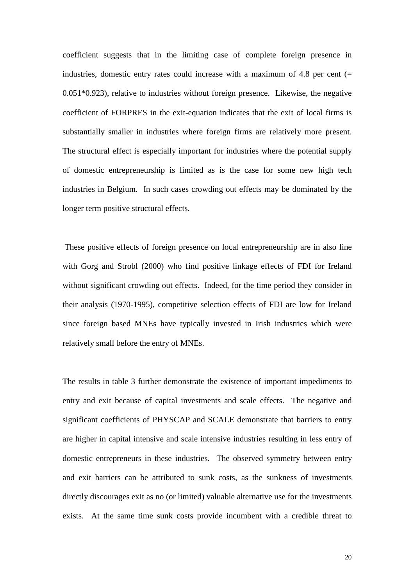coefficient suggests that in the limiting case of complete foreign presence in industries, domestic entry rates could increase with a maximum of 4.8 per cent  $(=$ 0.051\*0.923), relative to industries without foreign presence. Likewise, the negative coefficient of FORPRES in the exit-equation indicates that the exit of local firms is substantially smaller in industries where foreign firms are relatively more present. The structural effect is especially important for industries where the potential supply of domestic entrepreneurship is limited as is the case for some new high tech industries in Belgium. In such cases crowding out effects may be dominated by the longer term positive structural effects.

 These positive effects of foreign presence on local entrepreneurship are in also line with Gorg and Strobl (2000) who find positive linkage effects of FDI for Ireland without significant crowding out effects. Indeed, for the time period they consider in their analysis (1970-1995), competitive selection effects of FDI are low for Ireland since foreign based MNEs have typically invested in Irish industries which were relatively small before the entry of MNEs.

The results in table 3 further demonstrate the existence of important impediments to entry and exit because of capital investments and scale effects. The negative and significant coefficients of PHYSCAP and SCALE demonstrate that barriers to entry are higher in capital intensive and scale intensive industries resulting in less entry of domestic entrepreneurs in these industries. The observed symmetry between entry and exit barriers can be attributed to sunk costs, as the sunkness of investments directly discourages exit as no (or limited) valuable alternative use for the investments exists. At the same time sunk costs provide incumbent with a credible threat to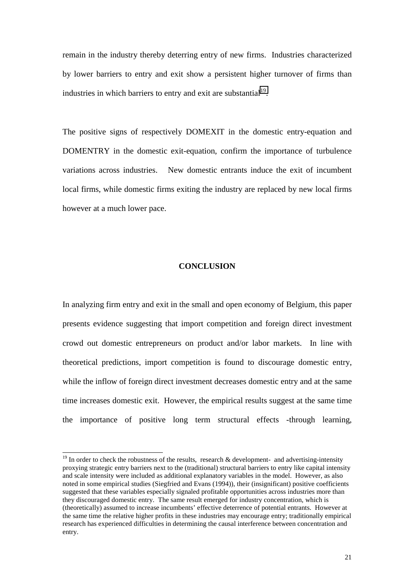remain in the industry thereby deterring entry of new firms. Industries characterized by lower barriers to entry and exit show a persistent higher turnover of firms than industries in which barriers to entry and exit are substantial<sup>19</sup>.

The positive signs of respectively DOMEXIT in the domestic entry-equation and DOMENTRY in the domestic exit-equation, confirm the importance of turbulence variations across industries. New domestic entrants induce the exit of incumbent local firms, while domestic firms exiting the industry are replaced by new local firms however at a much lower pace.

### **CONCLUSION**

In analyzing firm entry and exit in the small and open economy of Belgium, this paper presents evidence suggesting that import competition and foreign direct investment crowd out domestic entrepreneurs on product and/or labor markets. In line with theoretical predictions, import competition is found to discourage domestic entry, while the inflow of foreign direct investment decreases domestic entry and at the same time increases domestic exit. However, the empirical results suggest at the same time the importance of positive long term structural effects -through learning,

 $19$  In order to check the robustness of the results, research & development- and advertising-intensity proxying strategic entry barriers next to the (traditional) structural barriers to entry like capital intensity and scale intensity were included as additional explanatory variables in the model. However, as also noted in some empirical studies (Siegfried and Evans (1994)), their (insignificant) positive coefficients suggested that these variables especially signaled profitable opportunities across industries more than they discouraged domestic entry. The same result emerged for industry concentration, which is (theoretically) assumed to increase incumbents' effective deterrence of potential entrants. However at the same time the relative higher profits in these industries may encourage entry; traditionally empirical research has experienced difficulties in determining the causal interference between concentration and entry.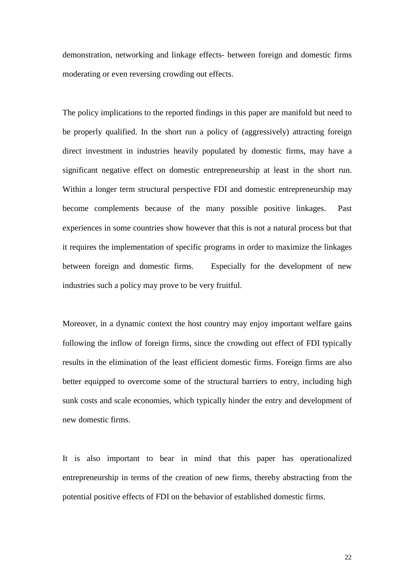demonstration, networking and linkage effects- between foreign and domestic firms moderating or even reversing crowding out effects.

The policy implications to the reported findings in this paper are manifold but need to be properly qualified. In the short run a policy of (aggressively) attracting foreign direct investment in industries heavily populated by domestic firms, may have a significant negative effect on domestic entrepreneurship at least in the short run. Within a longer term structural perspective FDI and domestic entrepreneurship may become complements because of the many possible positive linkages. Past experiences in some countries show however that this is not a natural process but that it requires the implementation of specific programs in order to maximize the linkages between foreign and domestic firms. Especially for the development of new industries such a policy may prove to be very fruitful.

Moreover, in a dynamic context the host country may enjoy important welfare gains following the inflow of foreign firms, since the crowding out effect of FDI typically results in the elimination of the least efficient domestic firms. Foreign firms are also better equipped to overcome some of the structural barriers to entry, including high sunk costs and scale economies, which typically hinder the entry and development of new domestic firms.

It is also important to bear in mind that this paper has operationalized entrepreneurship in terms of the creation of new firms, thereby abstracting from the potential positive effects of FDI on the behavior of established domestic firms.

22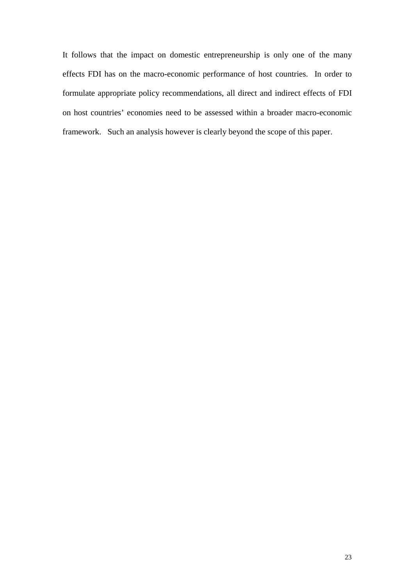It follows that the impact on domestic entrepreneurship is only one of the many effects FDI has on the macro-economic performance of host countries. In order to formulate appropriate policy recommendations, all direct and indirect effects of FDI on host countries' economies need to be assessed within a broader macro-economic framework. Such an analysis however is clearly beyond the scope of this paper.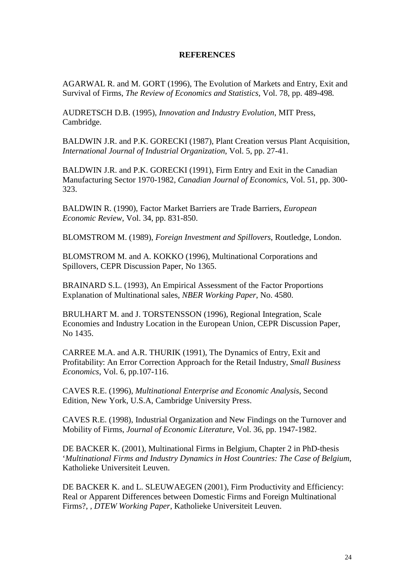### **REFERENCES**

AGARWAL R. and M. GORT (1996), The Evolution of Markets and Entry, Exit and Survival of Firms, *The Review of Economics and Statistics,* Vol. 78, pp. 489-498*.*

AUDRETSCH D.B. (1995), *Innovation and Industry Evolution*, MIT Press, Cambridge.

BALDWIN J.R. and P.K. GORECKI (1987), Plant Creation versus Plant Acquisition, *International Journal of Industrial Organization*, Vol. 5, pp. 27-41.

BALDWIN J.R. and P.K. GORECKI (1991), Firm Entry and Exit in the Canadian Manufacturing Sector 1970-1982, *Canadian Journal of Economics*, Vol. 51, pp. 300- 323.

BALDWIN R. (1990), Factor Market Barriers are Trade Barriers, *European Economic Review*, Vol. 34, pp. 831-850.

BLOMSTROM M. (1989), *Foreign Investment and Spillovers*, Routledge, London.

BLOMSTROM M. and A. KOKKO (1996), Multinational Corporations and Spillovers, CEPR Discussion Paper, No 1365.

BRAINARD S.L. (1993), An Empirical Assessment of the Factor Proportions Explanation of Multinational sales, *NBER Working Paper*, No. 4580.

BRULHART M. and J. TORSTENSSON (1996), Regional Integration, Scale Economies and Industry Location in the European Union, CEPR Discussion Paper, No 1435.

CARREE M.A. and A.R. THURIK (1991), The Dynamics of Entry, Exit and Profitability: An Error Correction Approach for the Retail Industry, *Small Business Economics*, Vol. 6, pp.107-116.

CAVES R.E. (1996), *Multinational Enterprise and Economic Analysis*, Second Edition, New York, U.S.A, Cambridge University Press.

CAVES R.E. (1998), Industrial Organization and New Findings on the Turnover and Mobility of Firms, *Journal of Economic Literature*, Vol. 36, pp. 1947-1982.

DE BACKER K. (2001), Multinational Firms in Belgium, Chapter 2 in PhD-thesis '*Multinational Firms and Industry Dynamics in Host Countries: The Case of Belgium*, Katholieke Universiteit Leuven.

DE BACKER K. and L. SLEUWAEGEN (2001), Firm Productivity and Efficiency: Real or Apparent Differences between Domestic Firms and Foreign Multinational Firms?, *, DTEW Working Paper*, Katholieke Universiteit Leuven.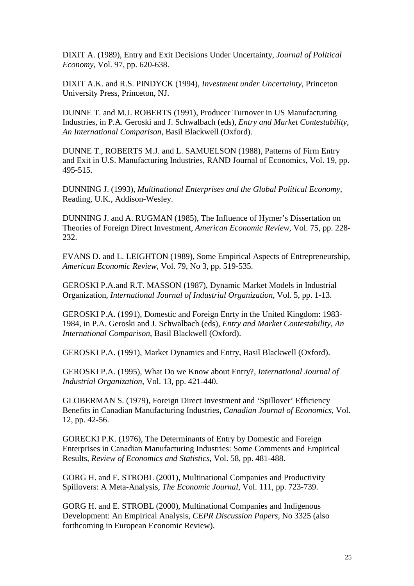DIXIT A. (1989), Entry and Exit Decisions Under Uncertainty, *Journal of Political Economy*, Vol. 97, pp. 620-638.

DIXIT A.K. and R.S. PINDYCK (1994), *Investment under Uncertainty*, Princeton University Press, Princeton, NJ.

DUNNE T. and M.J. ROBERTS (1991), Producer Turnover in US Manufacturing Industries, in P.A. Geroski and J. Schwalbach (eds), *Entry and Market Contestability, An International Comparison*, Basil Blackwell (Oxford).

DUNNE T., ROBERTS M.J. and L. SAMUELSON (1988), Patterns of Firm Entry and Exit in U.S. Manufacturing Industries, RAND Journal of Economics, Vol. 19, pp. 495-515.

DUNNING J. (1993), *Multinational Enterprises and the Global Political Economy*, Reading, U.K., Addison-Wesley.

DUNNING J. and A. RUGMAN (1985), The Influence of Hymer's Dissertation on Theories of Foreign Direct Investment, *American Economic Review*, Vol. 75, pp. 228- 232.

EVANS D. and L. LEIGHTON (1989), Some Empirical Aspects of Entrepreneurship, *American Economic Review*, Vol. 79, No 3, pp. 519-535.

GEROSKI P.A.and R.T. MASSON (1987), Dynamic Market Models in Industrial Organization, *International Journal of Industrial Organization*, Vol. 5, pp. 1-13.

GEROSKI P.A. (1991), Domestic and Foreign Enrty in the United Kingdom: 1983- 1984, in P.A. Geroski and J. Schwalbach (eds), *Entry and Market Contestability, An International Comparison*, Basil Blackwell (Oxford).

GEROSKI P.A. (1991), Market Dynamics and Entry, Basil Blackwell (Oxford).

GEROSKI P.A. (1995), What Do we Know about Entry?, *International Journal of Industrial Organization*, Vol. 13, pp. 421-440.

GLOBERMAN S. (1979), Foreign Direct Investment and 'Spillover' Efficiency Benefits in Canadian Manufacturing Industries, *Canadian Journal of Economics*, Vol. 12, pp. 42-56.

GORECKI P.K. (1976), The Determinants of Entry by Domestic and Foreign Enterprises in Canadian Manufacturing Industries: Some Comments and Empirical Results, *Review of Economics and Statistics*, Vol. 58, pp. 481-488.

GORG H. and E. STROBL (2001), Multinational Companies and Productivity Spillovers: A Meta-Analysis, *The Economic Journal*, Vol. 111, pp. 723-739.

GORG H. and E. STROBL (2000), Multinational Companies and Indigenous Development: An Empirical Analysis, *CEPR Discussion Papers*, No 3325 (also forthcoming in European Economic Review).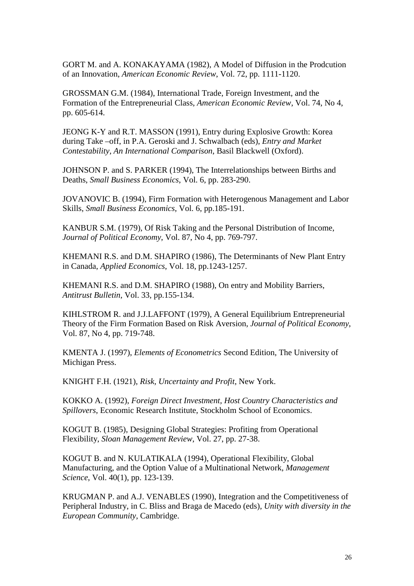GORT M. and A. KONAKAYAMA (1982), A Model of Diffusion in the Prodcution of an Innovation, *American Economic Review*, Vol. 72, pp. 1111-1120.

GROSSMAN G.M. (1984), International Trade, Foreign Investment, and the Formation of the Entrepreneurial Class, *American Economic Review*, Vol. 74, No 4, pp. 605-614.

JEONG K-Y and R.T. MASSON (1991), Entry during Explosive Growth: Korea during Take –off, in P.A. Geroski and J. Schwalbach (eds), *Entry and Market Contestability, An International Comparison*, Basil Blackwell (Oxford).

JOHNSON P. and S. PARKER (1994), The Interrelationships between Births and Deaths, *Small Business Economics*, Vol. 6, pp. 283-290.

JOVANOVIC B. (1994), Firm Formation with Heterogenous Management and Labor Skills, *Small Business Economics*, Vol. 6, pp.185-191.

KANBUR S.M. (1979), Of Risk Taking and the Personal Distribution of Income, *Journal of Political Economy*, Vol. 87, No 4, pp. 769-797.

KHEMANI R.S. and D.M. SHAPIRO (1986), The Determinants of New Plant Entry in Canada, *Applied Economics*, Vol. 18, pp.1243-1257.

KHEMANI R.S. and D.M. SHAPIRO (1988), On entry and Mobility Barriers, *Antitrust Bulletin*, Vol. 33, pp.155-134.

KIHLSTROM R. and J.J.LAFFONT (1979), A General Equilibrium Entrepreneurial Theory of the Firm Formation Based on Risk Aversion, *Journal of Political Economy*, Vol. 87, No 4, pp. 719-748.

KMENTA J. (1997), *Elements of Econometrics* Second Edition, The University of Michigan Press.

KNIGHT F.H. (1921), *Risk, Uncertainty and Profit*, New York.

KOKKO A. (1992), *Foreign Direct Investment, Host Country Characteristics and Spillovers*, Economic Research Institute, Stockholm School of Economics.

KOGUT B. (1985), Designing Global Strategies: Profiting from Operational Flexibility, *Sloan Management Review*, Vol. 27, pp. 27-38.

KOGUT B. and N. KULATIKALA (1994), Operational Flexibility, Global Manufacturing, and the Option Value of a Multinational Network, *Management Science*, Vol. 40(1), pp. 123-139.

KRUGMAN P. and A.J. VENABLES (1990), Integration and the Competitiveness of Peripheral Industry, in C. Bliss and Braga de Macedo (eds), *Unity with diversity in the European Community*, Cambridge.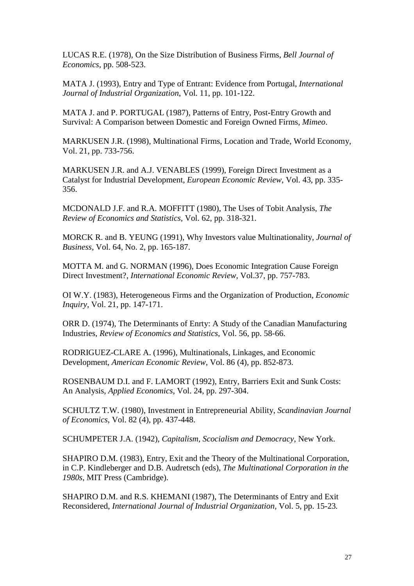LUCAS R.E. (1978), On the Size Distribution of Business Firms, *Bell Journal of Economics*, pp. 508-523.

MATA J. (1993), Entry and Type of Entrant: Evidence from Portugal, *International Journal of Industrial Organization*, Vol. 11, pp. 101-122.

MATA J. and P. PORTUGAL (1987), Patterns of Entry, Post-Entry Growth and Survival: A Comparison between Domestic and Foreign Owned Firms, *Mimeo*.

MARKUSEN J.R. (1998), Multinational Firms, Location and Trade, World Economy, Vol. 21, pp. 733-756.

MARKUSEN J.R. and A.J. VENABLES (1999), Foreign Direct Investment as a Catalyst for Industrial Development, *European Economic Review*, Vol. 43, pp. 335- 356.

MCDONALD J.F. and R.A. MOFFITT (1980), The Uses of Tobit Analysis, *The Review of Economics and Statistics*, Vol. 62, pp. 318-321.

MORCK R. and B. YEUNG (1991), Why Investors value Multinationality, *Journal of Business*, Vol. 64, No. 2, pp. 165-187.

MOTTA M. and G. NORMAN (1996), Does Economic Integration Cause Foreign Direct Investment?, *International Economic Review*, Vol.37, pp. 757-783.

OI W.Y. (1983), Heterogeneous Firms and the Organization of Production, *Economic Inquiry*, Vol. 21, pp. 147-171.

ORR D. (1974), The Determinants of Enrty: A Study of the Canadian Manufacturing Industries, *Review of Economics and Statistics*, Vol. 56, pp. 58-66.

RODRIGUEZ-CLARE A. (1996), Multinationals, Linkages, and Economic Development, *American Economic Review*, Vol. 86 (4), pp. 852-873.

ROSENBAUM D.I. and F. LAMORT (1992), Entry, Barriers Exit and Sunk Costs: An Analysis, *Applied Economics*, Vol. 24, pp. 297-304.

SCHULTZ T.W. (1980), Investment in Entrepreneurial Ability, *Scandinavian Journal of Economics*, Vol. 82 (4), pp. 437-448.

SCHUMPETER J.A. (1942), *Capitalism, Scocialism and Democracy*, New York.

SHAPIRO D.M. (1983), Entry, Exit and the Theory of the Multinational Corporation, in C.P. Kindleberger and D.B. Audretsch (eds), *The Multinational Corporation in the 1980s*, MIT Press (Cambridge).

SHAPIRO D.M. and R.S. KHEMANI (1987), The Determinants of Entry and Exit Reconsidered, *International Journal of Industrial Organization,* Vol. 5, pp. 15-23*.*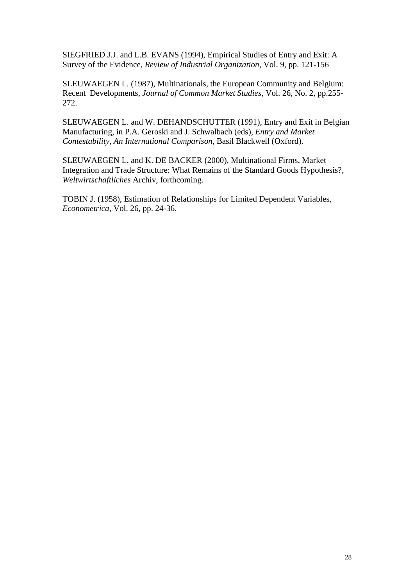SIEGFRIED J.J. and L.B. EVANS (1994), Empirical Studies of Entry and Exit: A Survey of the Evidence, *Review of Industrial Organization*, Vol. 9, pp. 121-156

SLEUWAEGEN L. (1987), Multinationals, the European Community and Belgium: Recent Developments, *Journal of Common Market Studies*, Vol. 26, No. 2, pp.255- 272.

SLEUWAEGEN L. and W. DEHANDSCHUTTER (1991), Entry and Exit in Belgian Manufacturing, in P.A. Geroski and J. Schwalbach (eds), *Entry and Market Contestability, An International Comparison*, Basil Blackwell (Oxford).

SLEUWAEGEN L. and K. DE BACKER (2000), Multinational Firms, Market Integration and Trade Structure: What Remains of the Standard Goods Hypothesis?, *Weltwirtschaftliches* Archiv, forthcoming.

TOBIN J. (1958), Estimation of Relationships for Limited Dependent Variables, *Econometrica*, Vol. 26, pp. 24-36.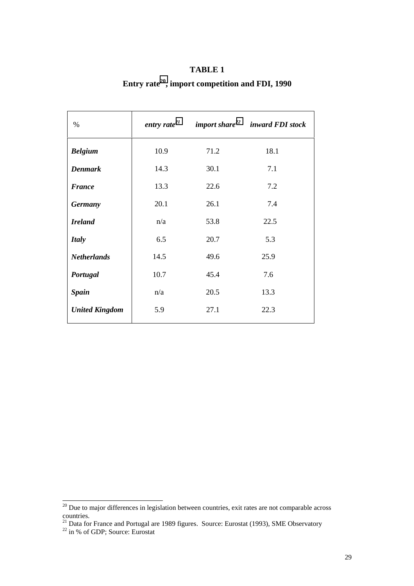| $\%$                  | entry rate $^{21}$ |      | import share <sup>22</sup> inward FDI stock |  |  |
|-----------------------|--------------------|------|---------------------------------------------|--|--|
| <b>Belgium</b>        | 10.9               | 71.2 | 18.1                                        |  |  |
| <b>Denmark</b>        | 14.3               | 30.1 | 7.1                                         |  |  |
| <b>France</b>         | 13.3               | 22.6 | 7.2                                         |  |  |
| <b>Germany</b>        | 20.1               | 26.1 | 7.4                                         |  |  |
| <b>Ireland</b>        | n/a                | 53.8 | 22.5                                        |  |  |
| <b>Italy</b>          | 6.5                | 20.7 | 5.3                                         |  |  |
| <b>Netherlands</b>    | 14.5               | 49.6 | 25.9                                        |  |  |
| Portugal              | 10.7               | 45.4 | 7.6                                         |  |  |
| <b>Spain</b>          | n/a                | 20.5 | 13.3                                        |  |  |
| <b>United Kingdom</b> | 5.9                | 27.1 | 22.3                                        |  |  |
|                       |                    |      |                                             |  |  |

## **TABLE 1**

# **Entry rate20, import competition and FDI, 1990**

 $20$  Due to major differences in legislation between countries, exit rates are not comparable across countries.

 $^{21}$  Data for France and Portugal are 1989 figures. Source: Eurostat (1993), SME Observatory

 $22$  in % of GDP; Source: Eurostat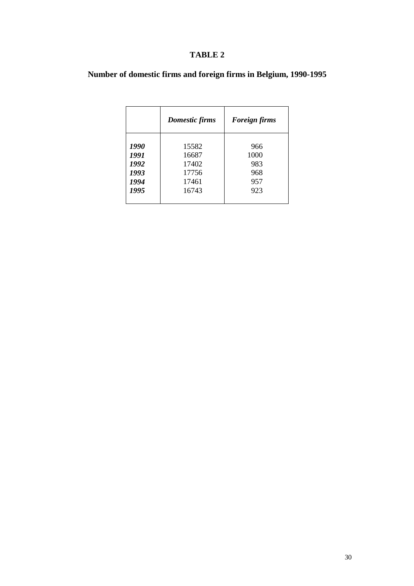## **TABLE 2**

**Number of domestic firms and foreign firms in Belgium, 1990-1995**

|      | Domestic firms | <b>Foreign firms</b> |  |  |  |  |
|------|----------------|----------------------|--|--|--|--|
| 1990 | 15582          | 966                  |  |  |  |  |
| 1991 | 16687          | 1000                 |  |  |  |  |
| 1992 | 17402          | 983                  |  |  |  |  |
| 1993 | 17756          | 968                  |  |  |  |  |
| 1994 | 17461          | 957                  |  |  |  |  |
| 1995 | 16743          | 923                  |  |  |  |  |
|      |                |                      |  |  |  |  |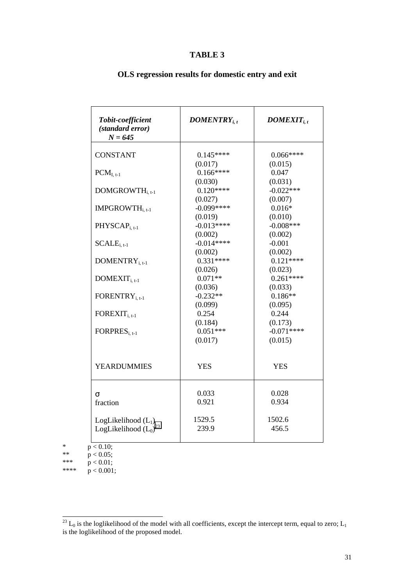### **TABLE 3**

| Tobit-coefficient<br>(standard error)<br>$N = 645$  | $DOMENTRY_{i,t}$ | $DOMEXIT_{i.t}$ |  |  |
|-----------------------------------------------------|------------------|-----------------|--|--|
| <b>CONSTANT</b>                                     | $0.145***$       | $0.066***$      |  |  |
|                                                     | (0.017)          | (0.015)         |  |  |
| $PCM_{I, t-1}$                                      | $0.166***$       | 0.047           |  |  |
|                                                     | (0.030)          | (0.031)         |  |  |
| DOMGROWTH <sub>i.t-1</sub>                          | $0.120***$       | $-0.022***$     |  |  |
|                                                     | (0.027)          | (0.007)         |  |  |
| IMPGROWTH <sub>i.t-1</sub>                          | $-0.099***$      | $0.016*$        |  |  |
|                                                     | (0.019)          | (0.010)         |  |  |
| PHYSCAP <sub>i.t-1</sub>                            | $-0.013***$      | $-0.008***$     |  |  |
|                                                     | (0.002)          | (0.002)         |  |  |
| $SCALEi.t-1$                                        | $-0.014***$      | $-0.001$        |  |  |
|                                                     | (0.002)          | (0.002)         |  |  |
| $DOMENTRY_{i, t-1}$                                 | $0.331***$       | $0.121***$      |  |  |
|                                                     | (0.026)          | (0.023)         |  |  |
| $DOMEXT_{i.t-1}$                                    | $0.071**$        | $0.261***$      |  |  |
|                                                     | (0.036)          | (0.033)         |  |  |
| FORENTRY <sub>i.t-1</sub>                           | $-0.232**$       | $0.186**$       |  |  |
|                                                     | (0.099)          | (0.095)         |  |  |
| $FOREXT_{i.t.1}$                                    | 0.254            | 0.244           |  |  |
|                                                     | (0.184)          | (0.173)         |  |  |
| FORPRES <sub>i. t-1</sub>                           | $0.051***$       | $-0.071***$     |  |  |
|                                                     | (0.017)          | (0.015)         |  |  |
| <b>YEARDUMMIES</b>                                  | <b>YES</b>       | <b>YES</b>      |  |  |
|                                                     | 0.033            | 0.028           |  |  |
| σ                                                   | 0.921            | 0.934           |  |  |
| fraction                                            |                  |                 |  |  |
|                                                     | 1529.5           | 1502.6          |  |  |
| LogLikelihood $(L_1)$<br>LogLikelihood $(L_0)^{23}$ | 239.9            | 456.5           |  |  |
|                                                     |                  |                 |  |  |

## **OLS regression results for domestic entry and exit**

\*  $p < 0.10$ ; \*\*  $p < 0.05$ ;<br>\*\*\*  $p < 0.01$ \*\*\*  $p < 0.01$ ; \*\*\*\*  $p < 0.001$ ;

 $^{23}$  L<sub>0</sub> is the loglikelihood of the model with all coefficients, except the intercept term, equal to zero; L<sub>1</sub> is the loglikelihood of the proposed model.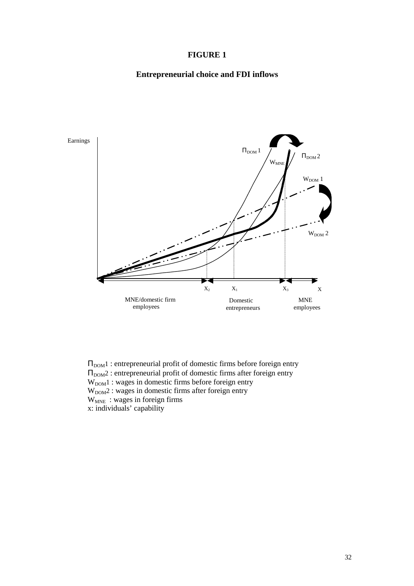### **FIGURE 1**

## **Entrepreneurial choice and FDI inflows**



 $\Pi_{\text{DOM}}$ 1 : entrepreneurial profit of domestic firms before foreign entry  $\Pi_{\mathrm{DOM}}$  : entrepreneurial profit of domestic firms after foreign entry  $W<sub>DOM</sub>1$ : wages in domestic firms before foreign entry  $W<sub>DOM</sub>2$ : wages in domestic firms after foreign entry  $W_{MNE}$ : wages in foreign firms x: individuals' capability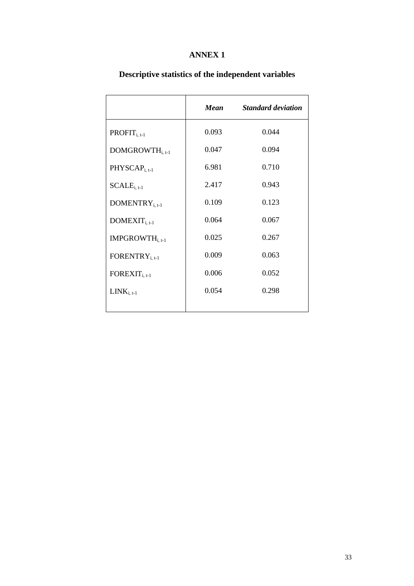## **ANNEX 1**

|                             | Mean  | <b>Standard deviation</b> |
|-----------------------------|-------|---------------------------|
| $PROFIT_{i, t-1}$           | 0.093 | 0.044                     |
| DOMGROWTH <sub>i. t-1</sub> | 0.047 | 0.094                     |
| $PHYSCAPi, t-1$             | 6.981 | 0.710                     |
| $\text{SCALE}_{i, t-1}$     | 2.417 | 0.943                     |
| DOMENTRY <sub>i, t-1</sub>  | 0.109 | 0.123                     |
| $DOMEXT_{i, t-1}$           | 0.064 | 0.067                     |
| IMPGROWTH <sub>i, t-1</sub> | 0.025 | 0.267                     |
| FORENTRY <sub>i, t-1</sub>  | 0.009 | 0.063                     |
| $\text{FOREXT}_{i, t-1}$    | 0.006 | 0.052                     |
| $LINK_{i, t-1}$             | 0.054 | 0.298                     |
|                             |       |                           |

## **Descriptive statistics of the independent variables**